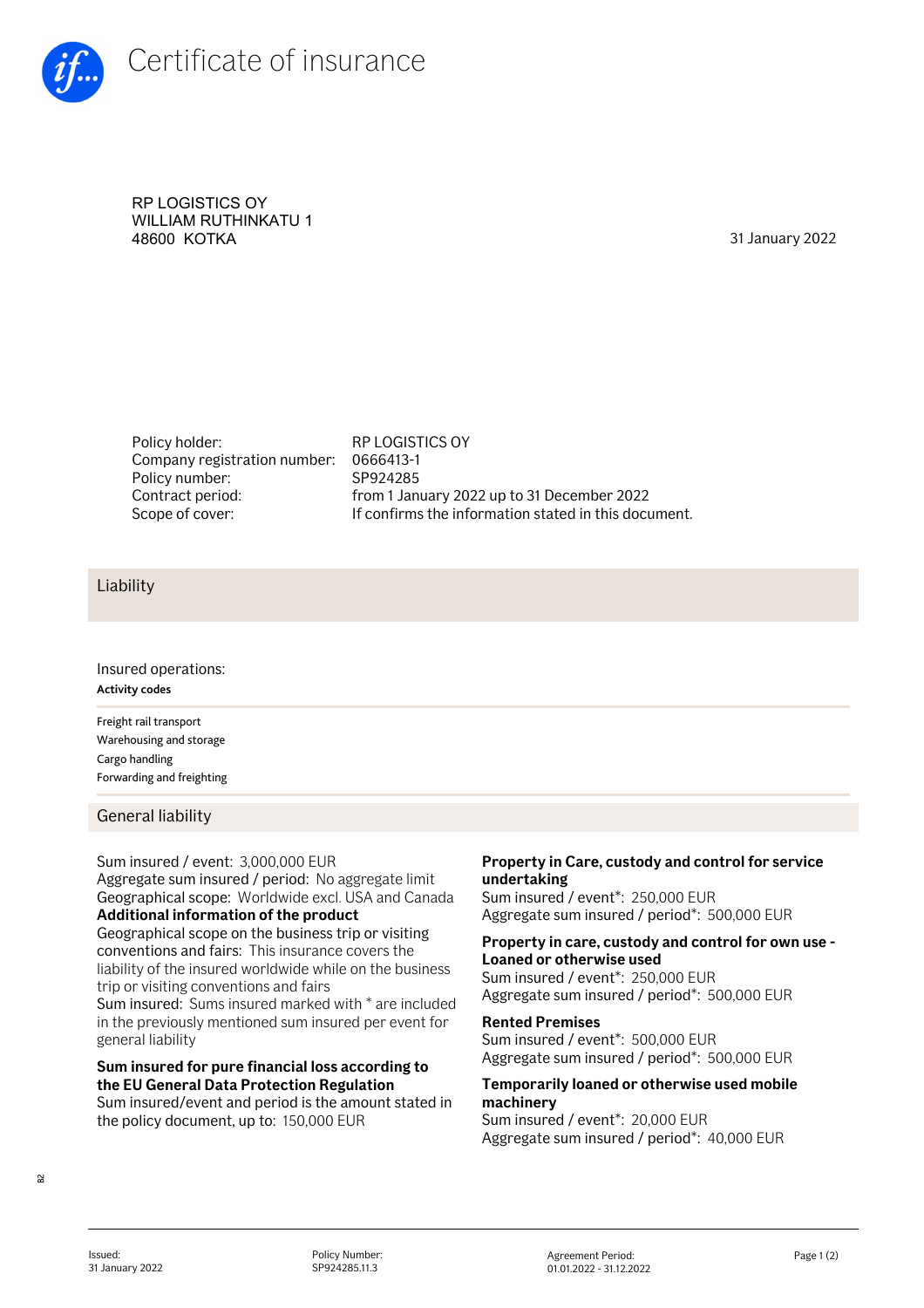

RP LOGISTICS OY WILLIAM RUTHINKATU 1 48600 KOTKA 31 January 2022

Policy holder: RP LOGISTICS OY Company registration number: Policy number: Contract period:

0666413-1 SP924285 from 1 January 2022 up to 31 December 2022 Scope of cover: If confirms the information stated in this document.

## Liability

Insured operations: **Activity codes**

Freight rail transport Warehousing and storage Cargo handling Forwarding and freighting

General liability

## Sum insured / event: 3,000,000 EUR

Aggregate sum insured / period: No aggregate limit Geographical scope: Worldwide excl. USA and Canada **Additional information of the product** 

Geographical scope on the business trip or visiting conventions and fairs: This insurance covers the liability of the insured worldwide while on the business trip or visiting conventions and fairs

Sum insured: Sums insured marked with \* are included in the previously mentioned sum insured per event for general liability

## **Sum insured for pure financial loss according to the EU General Data Protection Regulation**

Sum insured/event and period is the amount stated in the policy document, up to: 150,000 EUR

### **Property in Care, custody and control for service undertaking**

Sum insured / event\*: 250,000 EUR Aggregate sum insured / period\*: 500,000 EUR

## **Property in care, custody and control for own use - Loaned or otherwise used**

Sum insured / event\*: 250,000 EUR Aggregate sum insured / period\*: 500,000 EUR

#### **Rented Premises**

Sum insured / event\*: 500,000 EUR Aggregate sum insured / period\*: 500,000 EUR

## **Temporarily loaned or otherwise used mobile machinery**

Sum insured / event\*: 20,000 EUR Aggregate sum insured / period\*: 40,000 EUR